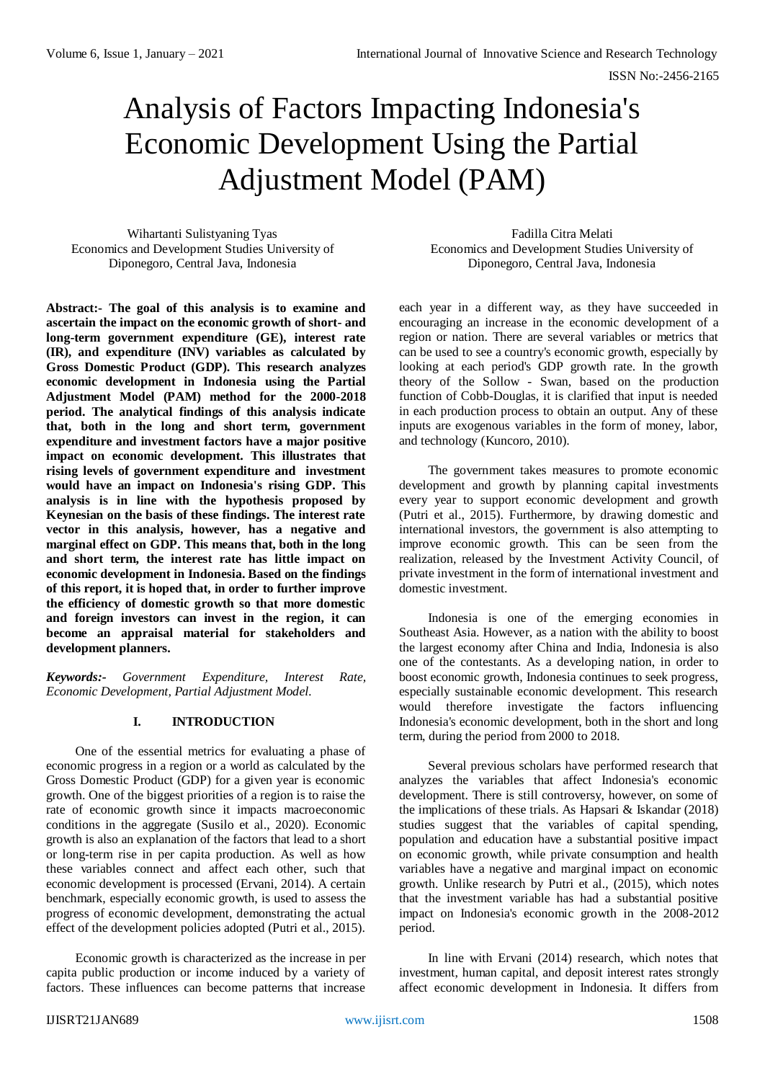# Analysis of Factors Impacting Indonesia's Economic Development Using the Partial Adjustment Model (PAM)

Wihartanti Sulistyaning Tyas Economics and Development Studies University of Diponegoro, Central Java, Indonesia

**Abstract:- The goal of this analysis is to examine and ascertain the impact on the economic growth of short- and long-term government expenditure (GE), interest rate (IR), and expenditure (INV) variables as calculated by Gross Domestic Product (GDP). This research analyzes economic development in Indonesia using the Partial Adjustment Model (PAM) method for the 2000-2018 period. The analytical findings of this analysis indicate that, both in the long and short term, government expenditure and investment factors have a major positive impact on economic development. This illustrates that rising levels of government expenditure and investment would have an impact on Indonesia's rising GDP. This analysis is in line with the hypothesis proposed by Keynesian on the basis of these findings. The interest rate vector in this analysis, however, has a negative and marginal effect on GDP. This means that, both in the long and short term, the interest rate has little impact on economic development in Indonesia. Based on the findings of this report, it is hoped that, in order to further improve the efficiency of domestic growth so that more domestic and foreign investors can invest in the region, it can become an appraisal material for stakeholders and development planners.**

*Keywords:- Government Expenditure, Interest Rate, Economic Development, Partial Adjustment Model.*

# **I. INTRODUCTION**

One of the essential metrics for evaluating a phase of economic progress in a region or a world as calculated by the Gross Domestic Product (GDP) for a given year is economic growth. One of the biggest priorities of a region is to raise the rate of economic growth since it impacts macroeconomic conditions in the aggregate (Susilo et al., 2020). Economic growth is also an explanation of the factors that lead to a short or long-term rise in per capita production. As well as how these variables connect and affect each other, such that economic development is processed (Ervani, 2014). A certain benchmark, especially economic growth, is used to assess the progress of economic development, demonstrating the actual effect of the development policies adopted (Putri et al., 2015).

Economic growth is characterized as the increase in per capita public production or income induced by a variety of factors. These influences can become patterns that increase

Fadilla Citra Melati Economics and Development Studies University of Diponegoro, Central Java, Indonesia

each year in a different way, as they have succeeded in encouraging an increase in the economic development of a region or nation. There are several variables or metrics that can be used to see a country's economic growth, especially by looking at each period's GDP growth rate. In the growth theory of the Sollow - Swan, based on the production function of Cobb-Douglas, it is clarified that input is needed in each production process to obtain an output. Any of these inputs are exogenous variables in the form of money, labor, and technology (Kuncoro, 2010).

The government takes measures to promote economic development and growth by planning capital investments every year to support economic development and growth (Putri et al., 2015). Furthermore, by drawing domestic and international investors, the government is also attempting to improve economic growth. This can be seen from the realization, released by the Investment Activity Council, of private investment in the form of international investment and domestic investment.

Indonesia is one of the emerging economies in Southeast Asia. However, as a nation with the ability to boost the largest economy after China and India, Indonesia is also one of the contestants. As a developing nation, in order to boost economic growth, Indonesia continues to seek progress, especially sustainable economic development. This research would therefore investigate the factors influencing Indonesia's economic development, both in the short and long term, during the period from 2000 to 2018.

Several previous scholars have performed research that analyzes the variables that affect Indonesia's economic development. There is still controversy, however, on some of the implications of these trials. As Hapsari & Iskandar (2018) studies suggest that the variables of capital spending, population and education have a substantial positive impact on economic growth, while private consumption and health variables have a negative and marginal impact on economic growth. Unlike research by Putri et al., (2015), which notes that the investment variable has had a substantial positive impact on Indonesia's economic growth in the 2008-2012 period.

In line with Ervani (2014) research, which notes that investment, human capital, and deposit interest rates strongly affect economic development in Indonesia. It differs from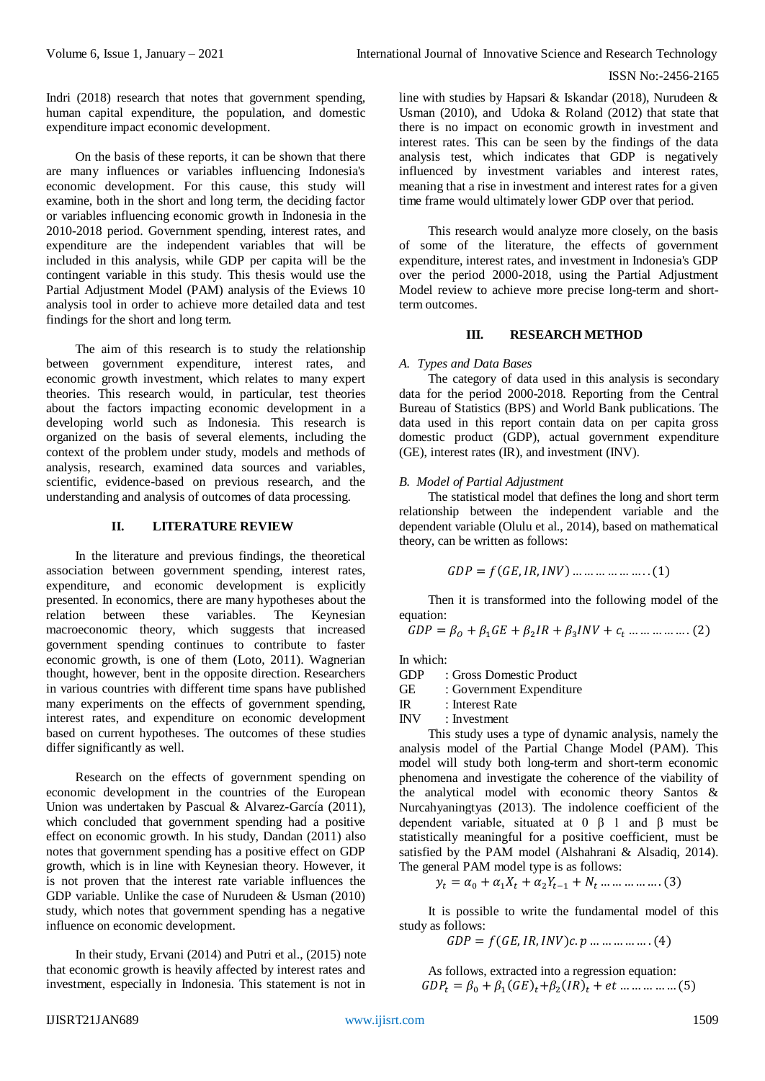ISSN No:-2456-2165

Indri (2018) research that notes that government spending, human capital expenditure, the population, and domestic expenditure impact economic development.

On the basis of these reports, it can be shown that there are many influences or variables influencing Indonesia's economic development. For this cause, this study will examine, both in the short and long term, the deciding factor or variables influencing economic growth in Indonesia in the 2010-2018 period. Government spending, interest rates, and expenditure are the independent variables that will be included in this analysis, while GDP per capita will be the contingent variable in this study. This thesis would use the Partial Adjustment Model (PAM) analysis of the Eviews 10 analysis tool in order to achieve more detailed data and test findings for the short and long term.

The aim of this research is to study the relationship between government expenditure, interest rates, and economic growth investment, which relates to many expert theories. This research would, in particular, test theories about the factors impacting economic development in a developing world such as Indonesia. This research is organized on the basis of several elements, including the context of the problem under study, models and methods of analysis, research, examined data sources and variables, scientific, evidence-based on previous research, and the understanding and analysis of outcomes of data processing.

# **II. LITERATURE REVIEW**

In the literature and previous findings, the theoretical association between government spending, interest rates, expenditure, and economic development is explicitly presented. In economics, there are many hypotheses about the relation between these variables. The Keynesian relation between these variables. The Keynesian macroeconomic theory, which suggests that increased government spending continues to contribute to faster economic growth, is one of them (Loto, 2011). Wagnerian thought, however, bent in the opposite direction. Researchers in various countries with different time spans have published many experiments on the effects of government spending, interest rates, and expenditure on economic development based on current hypotheses. The outcomes of these studies differ significantly as well.

Research on the effects of government spending on economic development in the countries of the European Union was undertaken by Pascual & Alvarez-García (2011), which concluded that government spending had a positive effect on economic growth. In his study, Dandan (2011) also notes that government spending has a positive effect on GDP growth, which is in line with Keynesian theory. However, it is not proven that the interest rate variable influences the GDP variable. Unlike the case of Nurudeen & Usman (2010) study, which notes that government spending has a negative influence on economic development.

In their study, Ervani (2014) and Putri et al., (2015) note that economic growth is heavily affected by interest rates and investment, especially in Indonesia. This statement is not in

line with studies by Hapsari & Iskandar (2018), Nurudeen & Usman (2010), and Udoka & Roland (2012) that state that there is no impact on economic growth in investment and interest rates. This can be seen by the findings of the data analysis test, which indicates that GDP is negatively influenced by investment variables and interest rates, meaning that a rise in investment and interest rates for a given time frame would ultimately lower GDP over that period.

This research would analyze more closely, on the basis of some of the literature, the effects of government expenditure, interest rates, and investment in Indonesia's GDP over the period 2000-2018, using the Partial Adjustment Model review to achieve more precise long-term and shortterm outcomes.

## **III. RESEARCH METHOD**

## *A. Types and Data Bases*

The category of data used in this analysis is secondary data for the period 2000-2018. Reporting from the Central Bureau of Statistics (BPS) and World Bank publications. The data used in this report contain data on per capita gross domestic product (GDP), actual government expenditure (GE), interest rates (IR), and investment (INV).

## *B. Model of Partial Adjustment*

The statistical model that defines the long and short term relationship between the independent variable and the dependent variable (Olulu et al., 2014), based on mathematical theory, can be written as follows:

$$
GDP = f(GE, IR, INV) \dots \dots \dots \dots \dots \dots (1)
$$

Then it is transformed into the following model of the equation:

$$
GDP = \beta_0 + \beta_1 GE + \beta_2 IR + \beta_3 INV + c_t \dots \dots \dots \dots \dots (2)
$$

In which:

GDP : Gross Domestic Product

GE : Government Expenditure

IR : Interest Rate

INV : Investment

This study uses a type of dynamic analysis, namely the analysis model of the Partial Change Model (PAM). This model will study both long-term and short-term economic phenomena and investigate the coherence of the viability of the analytical model with economic theory Santos & Nurcahyaningtyas (2013). The indolence coefficient of the dependent variable, situated at 0 β 1 and β must be statistically meaningful for a positive coefficient, must be satisfied by the PAM model (Alshahrani & Alsadiq, 2014). The general PAM model type is as follows:

$$
y_t = \alpha_0 + \alpha_1 X_t + \alpha_2 Y_{t-1} + N_t \dots \dots \dots \dots \dots (3)
$$

It is possible to write the fundamental model of this study as follows:

$$
GDP = f(GE, IR, INV)c. p \dots \dots \dots \dots (4)
$$

As follows, extracted into a regression equation:  $GDP_t = \beta_0 + \beta_1 (GE)_t + \beta_2 (IR)_t + et \dots \dots \dots \dots (5)$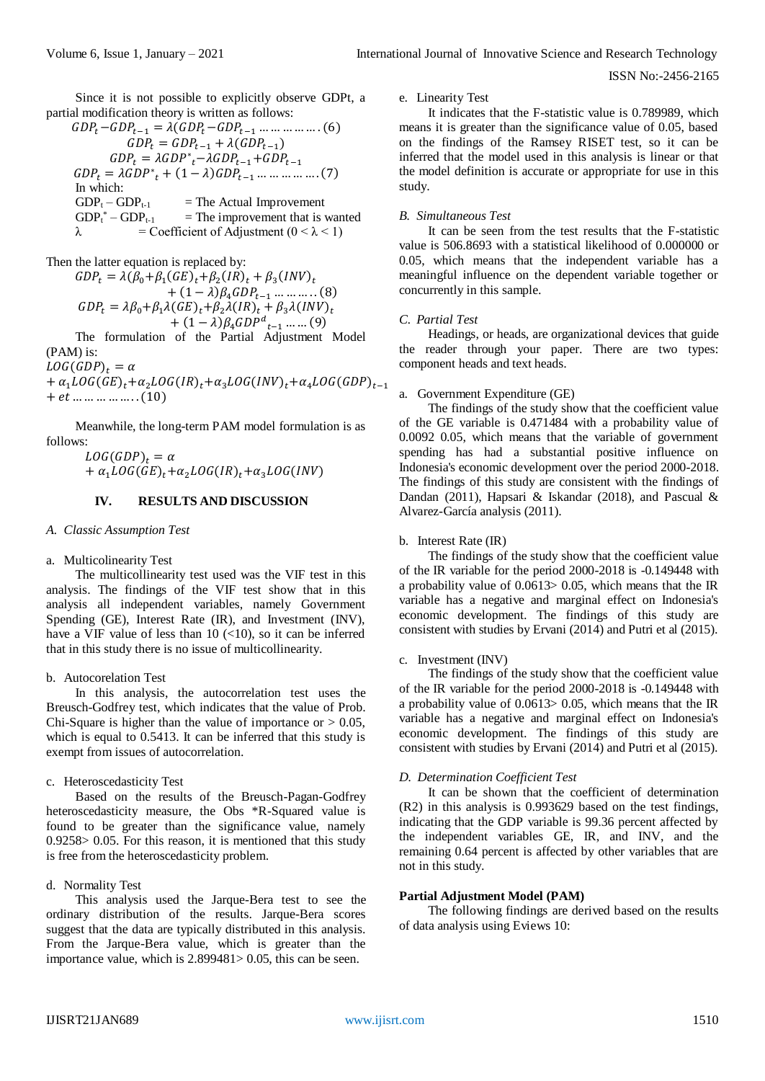ISSN No:-2456-2165

Since it is not possible to explicitly observe GDPt, a partial modification theory is written as follows:

−−1 = (−−1 …… …… …. (6) = −1 + (−1 ) = <sup>∗</sup> −−1+−1 = <sup>∗</sup> + (1 − )−1 … … …… …. (7) In which: GDP<sup>t</sup> – GDPt-1 = The Actual Improvement GDP<sup>t</sup> \* – GDPt-1 = The improvement that is wanted λ = Coefficient of Adjustment (0 ˂ λ ˂ 1)

Then the latter equation is replaced by:

 $GDP_t = \lambda(\beta_0 + \beta_1(GE)_t + \beta_2(IR)_t + \beta_3(INV)_t$  $+(1 - \lambda)\beta_4 GDP_{t-1}$  ... ... ... . (8)  $GDP_t = \lambda \beta_0 + \beta_1 \lambda (GE)_t + \beta_2 \lambda (IR)_t + \beta_3 \lambda (INV)_t$  $+ (1 - \lambda) \beta_4 GDP^d_{t-1}$  ... ... (9)

The formulation of the Partial Adjustment Model (PAM) is:

 $LOG(GDP)_t = \alpha$ +  $\alpha_1 LOG(GE)_t + \alpha_2 LOG(In)_t + \alpha_3LOG(INV)_t + \alpha_4LOG(GDP)_{t-1}$  $+$  *et* ... ... ... ... ... (10)

Meanwhile, the long-term PAM model formulation is as follows:

$$
LOG(GDP)t = \alpha
$$
  
+  $\alpha_1 LOG(GE)t + \alpha_2 LOG(IR)t + \alpha_3 LOG(INV)$ 

## **IV. RESULTS AND DISCUSSION**

#### *A. Classic Assumption Test*

a. Multicolinearity Test

The multicollinearity test used was the VIF test in this analysis. The findings of the VIF test show that in this analysis all independent variables, namely Government Spending (GE), Interest Rate (IR), and Investment (INV), have a VIF value of less than  $10$  (<10), so it can be inferred that in this study there is no issue of multicollinearity.

# b. Autocorelation Test

In this analysis, the autocorrelation test uses the Breusch-Godfrey test, which indicates that the value of Prob. Chi-Square is higher than the value of importance or  $> 0.05$ , which is equal to 0.5413. It can be inferred that this study is exempt from issues of autocorrelation.

#### c. Heteroscedasticity Test

Based on the results of the Breusch-Pagan-Godfrey heteroscedasticity measure, the Obs \*R-Squared value is found to be greater than the significance value, namely 0.9258> 0.05. For this reason, it is mentioned that this study is free from the heteroscedasticity problem.

# d. Normality Test

This analysis used the Jarque-Bera test to see the ordinary distribution of the results. Jarque-Bera scores suggest that the data are typically distributed in this analysis. From the Jarque-Bera value, which is greater than the importance value, which is 2.899481> 0.05, this can be seen.

e. Linearity Test

It indicates that the F-statistic value is 0.789989, which means it is greater than the significance value of 0.05, based on the findings of the Ramsey RISET test, so it can be inferred that the model used in this analysis is linear or that the model definition is accurate or appropriate for use in this study.

## *B. Simultaneous Test*

It can be seen from the test results that the F-statistic value is 506.8693 with a statistical likelihood of 0.000000 or 0.05, which means that the independent variable has a meaningful influence on the dependent variable together or concurrently in this sample.

# *C. Partial Test*

Headings, or heads, are organizational devices that guide the reader through your paper. There are two types: component heads and text heads.

## a. Government Expenditure (GE)

The findings of the study show that the coefficient value of the GE variable is 0.471484 with a probability value of 0.0092 0.05, which means that the variable of government spending has had a substantial positive influence on Indonesia's economic development over the period 2000-2018. The findings of this study are consistent with the findings of Dandan (2011), Hapsari & Iskandar (2018), and Pascual & Alvarez-García analysis (2011).

## b. Interest Rate (IR)

The findings of the study show that the coefficient value of the IR variable for the period 2000-2018 is -0.149448 with a probability value of 0.0613> 0.05, which means that the IR variable has a negative and marginal effect on Indonesia's economic development. The findings of this study are consistent with studies by Ervani (2014) and Putri et al (2015).

#### c. Investment (INV)

The findings of the study show that the coefficient value of the IR variable for the period 2000-2018 is -0.149448 with a probability value of 0.0613> 0.05, which means that the IR variable has a negative and marginal effect on Indonesia's economic development. The findings of this study are consistent with studies by Ervani (2014) and Putri et al (2015).

#### *D. Determination Coefficient Test*

It can be shown that the coefficient of determination (R2) in this analysis is 0.993629 based on the test findings, indicating that the GDP variable is 99.36 percent affected by the independent variables GE, IR, and INV, and the remaining 0.64 percent is affected by other variables that are not in this study.

# **Partial Adjustment Model (PAM)**

The following findings are derived based on the results of data analysis using Eviews 10: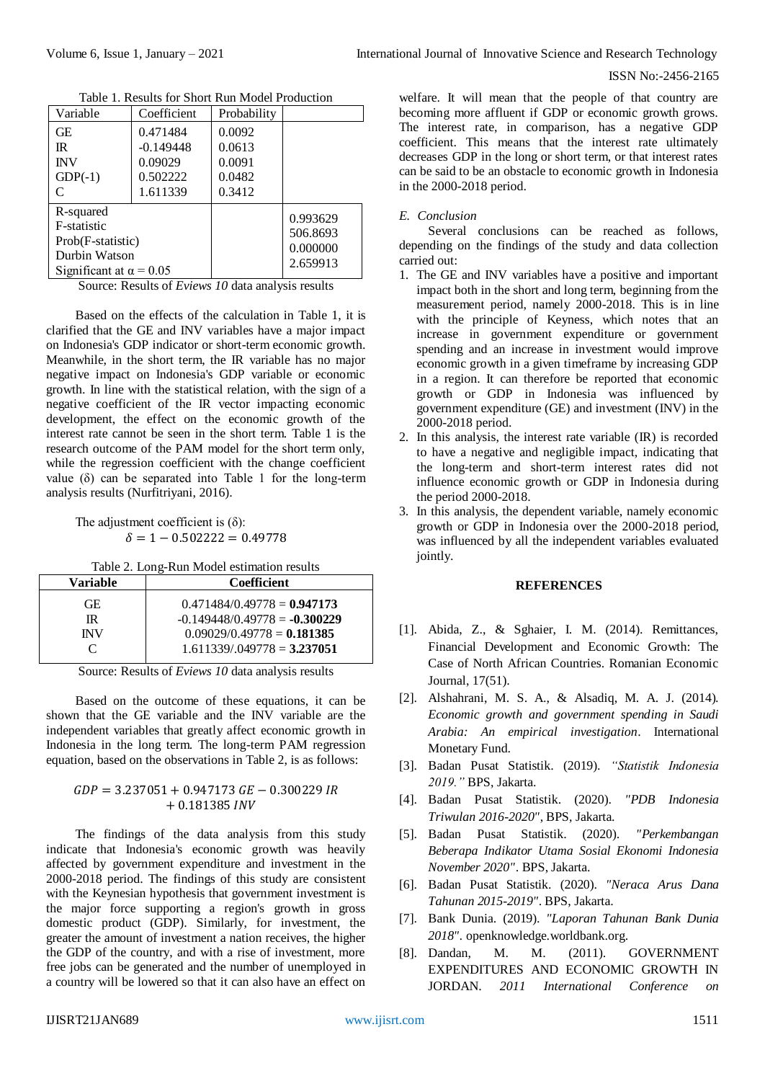#### ISSN No:-2456-2165

| Variable                                                                                         | Coefficient                                                | Probability                                    |                                              |
|--------------------------------------------------------------------------------------------------|------------------------------------------------------------|------------------------------------------------|----------------------------------------------|
| GЕ<br>$\mathbb{R}$<br><b>INV</b><br>$GDP(-1)$                                                    | 0.471484<br>$-0.149448$<br>0.09029<br>0.502222<br>1.611339 | 0.0092<br>0.0613<br>0.0091<br>0.0482<br>0.3412 |                                              |
| R-squared<br>F-statistic<br>Prob(F-statistic)<br>Durbin Watson<br>Significant at $\alpha = 0.05$ |                                                            |                                                | 0.993629<br>506.8693<br>0.000000<br>2.659913 |

Table 1. Results for Short Run Model Production

Source: Results of *Eviews 10* data analysis results

Based on the effects of the calculation in Table 1, it is clarified that the GE and INV variables have a major impact on Indonesia's GDP indicator or short-term economic growth. Meanwhile, in the short term, the IR variable has no major negative impact on Indonesia's GDP variable or economic growth. In line with the statistical relation, with the sign of a negative coefficient of the IR vector impacting economic development, the effect on the economic growth of the interest rate cannot be seen in the short term. Table 1 is the research outcome of the PAM model for the short term only, while the regression coefficient with the change coefficient value  $(\delta)$  can be separated into Table 1 for the long-term analysis results (Nurfitriyani, 2016).

The adjustment coefficient is  $(\delta)$ :  $\delta = 1 - 0.502222 = 0.49778$ 

Table 2. Long-Run Model estimation results

| Variable   | <b>Coefficient</b>              |  |  |
|------------|---------------------------------|--|--|
| GE.        | $0.471484/0.49778 = 0.947173$   |  |  |
| IR.        | $-0.149448/0.49778 = -0.300229$ |  |  |
| <b>INV</b> | $0.09029/0.49778 = 0.181385$    |  |  |
| C          | $1.611339/049778 = 3.237051$    |  |  |
|            |                                 |  |  |

Source: Results of *Eviews 10* data analysis results

Based on the outcome of these equations, it can be shown that the GE variable and the INV variable are the independent variables that greatly affect economic growth in Indonesia in the long term. The long-term PAM regression equation, based on the observations in Table 2, is as follows:

## $GDP = 3.237051 + 0.947173$   $GE - 0.300229$  IR  $+ 0.181385$  INV

The findings of the data analysis from this study indicate that Indonesia's economic growth was heavily affected by government expenditure and investment in the 2000-2018 period. The findings of this study are consistent with the Keynesian hypothesis that government investment is the major force supporting a region's growth in gross domestic product (GDP). Similarly, for investment, the greater the amount of investment a nation receives, the higher the GDP of the country, and with a rise of investment, more free jobs can be generated and the number of unemployed in a country will be lowered so that it can also have an effect on welfare. It will mean that the people of that country are becoming more affluent if GDP or economic growth grows. The interest rate, in comparison, has a negative GDP coefficient. This means that the interest rate ultimately decreases GDP in the long or short term, or that interest rates can be said to be an obstacle to economic growth in Indonesia in the 2000-2018 period.

#### *E. Conclusion*

Several conclusions can be reached as follows, depending on the findings of the study and data collection carried out:

- 1. The GE and INV variables have a positive and important impact both in the short and long term, beginning from the measurement period, namely 2000-2018. This is in line with the principle of Keyness, which notes that an increase in government expenditure or government spending and an increase in investment would improve economic growth in a given timeframe by increasing GDP in a region. It can therefore be reported that economic growth or GDP in Indonesia was influenced by government expenditure (GE) and investment (INV) in the 2000-2018 period.
- 2. In this analysis, the interest rate variable (IR) is recorded to have a negative and negligible impact, indicating that the long-term and short-term interest rates did not influence economic growth or GDP in Indonesia during the period 2000-2018.
- 3. In this analysis, the dependent variable, namely economic growth or GDP in Indonesia over the 2000-2018 period, was influenced by all the independent variables evaluated jointly.

## **REFERENCES**

- [1]. Abida, Z., & Sghaier, I. M. (2014). Remittances, Financial Development and Economic Growth: The Case of North African Countries. Romanian Economic Journal, 17(51).
- [2]. Alshahrani, M. S. A., & Alsadiq, M. A. J. (2014). *Economic growth and government spending in Saudi Arabia: An empirical investigation*. International Monetary Fund.
- [3]. Badan Pusat Statistik. (2019). *"Statistik Indonesia 2019."* BPS, Jakarta.
- [4]. Badan Pusat Statistik. (2020). *"PDB Indonesia Triwulan 2016-2020"*, BPS, Jakarta.
- [5]. Badan Pusat Statistik. (2020). *"Perkembangan Beberapa Indikator Utama Sosial Ekonomi Indonesia November 2020"*. BPS, Jakarta.
- [6]. Badan Pusat Statistik. (2020). *"Neraca Arus Dana Tahunan 2015-2019"*. BPS, Jakarta.
- [7]. Bank Dunia. (2019). *"Laporan Tahunan Bank Dunia 2018".* openknowledge.worldbank.org.
- [8]. Dandan, M. M. (2011). GOVERNMENT EXPENDITURES AND ECONOMIC GROWTH IN JORDAN. *2011 International Conference on*